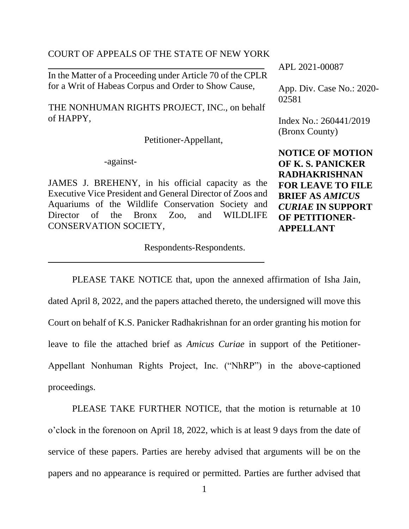#### COURT OF APPEALS OF THE STATE OF NEW YORK

In the Matter of a Proceeding under Article 70 of the CPLR for a Writ of Habeas Corpus and Order to Show Cause,

 THE NONHUMAN RIGHTS PROJECT, INC., on behalf of HAPPY,

Petitioner-Appellant,

-against-

JAMES J. BREHENY, in his official capacity as the Executive Vice President and General Director of Zoos and Aquariums of the Wildlife Conservation Society and Director of the Bronx Zoo, and WILDLIFE CONSERVATION SOCIETY,

Respondents-Respondents.

APL 2021-00087

App. Div. Case No.: 2020- 02581

Index No.: 260441/2019 (Bronx County)

**NOTICE OF MOTION OF K. S. PANICKER RADHAKRISHNAN FOR LEAVE TO FILE BRIEF AS** *AMICUS CURIAE* **IN SUPPORT OF PETITIONER-APPELLANT**

PLEASE TAKE NOTICE that, upon the annexed affirmation of Isha Jain, dated April 8, 2022, and the papers attached thereto, the undersigned will move this Court on behalf of K.S. Panicker Radhakrishnan for an order granting his motion for leave to file the attached brief as *Amicus Curiae* in support of the Petitioner-Appellant Nonhuman Rights Project, Inc. ("NhRP") in the above-captioned proceedings.

PLEASE TAKE FURTHER NOTICE, that the motion is returnable at 10 o'clock in the forenoon on April 18, 2022, which is at least 9 days from the date of service of these papers. Parties are hereby advised that arguments will be on the papers and no appearance is required or permitted. Parties are further advised that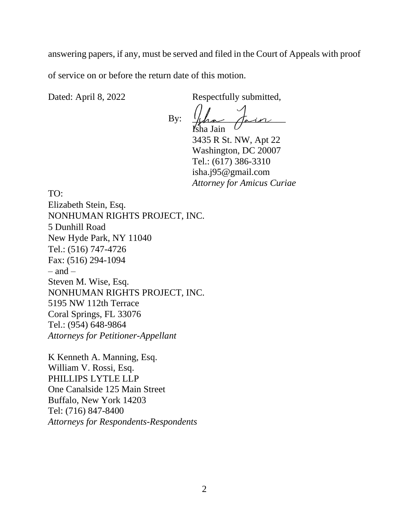answering papers, if any, must be served and filed in the Court of Appeals with proof of service on or before the return date of this motion.

Dated: April 8, 2022 Respectfully submitted,

 $Bv:$ Isha Jain

3435 R St. NW, Apt 22 Washington, DC 20007 Tel.: (617) 386-3310 isha.j95@gmail.com *Attorney for Amicus Curiae*

TO:

Elizabeth Stein, Esq. NONHUMAN RIGHTS PROJECT, INC. 5 Dunhill Road New Hyde Park, NY 11040 Tel.: (516) 747-4726 Fax: (516) 294-1094  $-$  and  $-$ Steven M. Wise, Esq. NONHUMAN RIGHTS PROJECT, INC. 5195 NW 112th Terrace Coral Springs, FL 33076 Tel.: (954) 648-9864 *Attorneys for Petitioner-Appellant*

K Kenneth A. Manning, Esq. William V. Rossi, Esq. PHILLIPS LYTLE LLP One Canalside 125 Main Street Buffalo, New York 14203 Tel: (716) 847-8400 *Attorneys for Respondents-Respondents*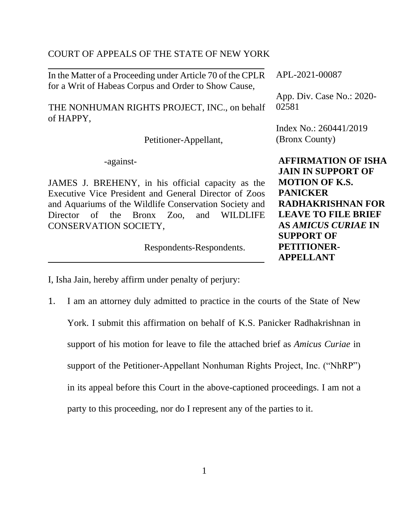#### COURT OF APPEALS OF THE STATE OF NEW YORK

In the Matter of a Proceeding under Article 70 of the CPLR for a Writ of Habeas Corpus and Order to Show Cause,

 THE NONHUMAN RIGHTS PROJECT, INC., on behalf of HAPPY,

Petitioner-Appellant,

-against-

JAMES J. BREHENY, in his official capacity as the Executive Vice President and General Director of Zoos and Aquariums of the Wildlife Conservation Society and Director of the Bronx Zoo, and WILDLIFE CONSERVATION SOCIETY,

Respondents-Respondents.

APL-2021-00087

App. Div. Case No.: 2020- 02581

Index No.: 260441/2019 (Bronx County)

**AFFIRMATION OF ISHA JAIN IN SUPPORT OF MOTION OF K.S. PANICKER RADHAKRISHNAN FOR LEAVE TO FILE BRIEF AS** *AMICUS CURIAE* **IN SUPPORT OF PETITIONER-APPELLANT**

I, Isha Jain, hereby affirm under penalty of perjury:

1. I am an attorney duly admitted to practice in the courts of the State of New York. I submit this affirmation on behalf of K.S. Panicker Radhakrishnan in support of his motion for leave to file the attached brief as *Amicus Curiae* in support of the Petitioner-Appellant Nonhuman Rights Project, Inc. ("NhRP") in its appeal before this Court in the above-captioned proceedings. I am not a party to this proceeding, nor do I represent any of the parties to it.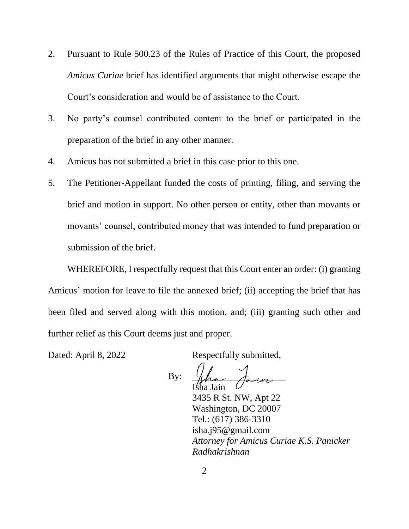- 2. Pursuant to Rule 500.23 of the Rules of Practice of this Court, the proposed *Amicus Curiae* brief has identified arguments that might otherwise escape the Court's consideration and would be of assistance to the Court.
- 3. No party's counsel contributed content to the brief or participated in the preparation of the brief in any other manner.
- 4. Amicus has not submitted a brief in this case prior to this one.
- 5. The Petitioner-Appellant funded the costs of printing, filing, and serving the brief and motion in support. No other person or entity, other than movants or movants' counsel, contributed money that was intended to fund preparation or submission of the brief.

WHEREFORE, I respectfully request that this Court enter an order: (i) granting Amicus' motion for leave to file the annexed brief; (ii) accepting the brief that has been filed and served along with this motion, and; (iii) granting such other and further relief as this Court deems just and proper.

Dated: April 8, 2022 Respectfully submitted,

 $Bv:$ Isha Jain

3435 R St. NW, Apt 22 Washington, DC 20007 Tel.: (617) 386-3310 isha.j95@gmail.com *Attorney for Amicus Curiae K.S. Panicker Radhakrishnan*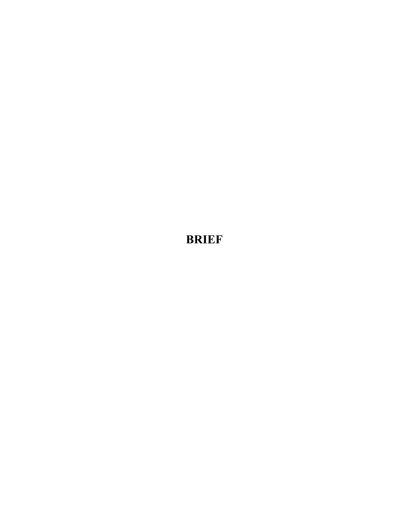**BRIEF**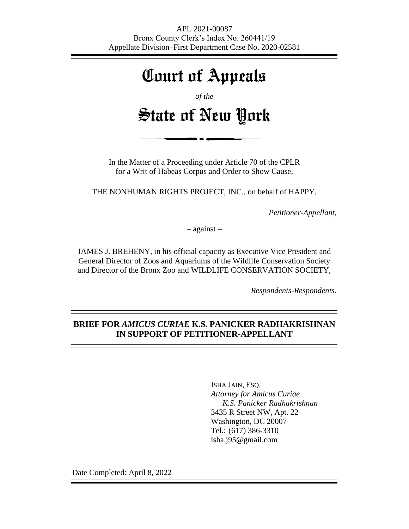# Court of Appeals

*of the*

# State of New York

In the Matter of a Proceeding under Article 70 of the CPLR for a Writ of Habeas Corpus and Order to Show Cause,

THE NONHUMAN RIGHTS PROJECT, INC., on behalf of HAPPY,

*Petitioner-Appellant,*

– against –

JAMES J. BREHENY, in his official capacity as Executive Vice President and General Director of Zoos and Aquariums of the Wildlife Conservation Society and Director of the Bronx Zoo and WILDLIFE CONSERVATION SOCIETY,

*Respondents-Respondents.*

### **BRIEF FOR** *AMICUS CURIAE* **K.S. PANICKER RADHAKRISHNAN IN SUPPORT OF PETITIONER-APPELLANT**

ISHA JAIN, ESQ. *Attorney for Amicus Curiae K.S. Panicker Radhakrishnan* 3435 R Street NW, Apt. 22 Washington, DC 20007 Tel.: (617) 386-3310 isha.j95@gmail.com

Date Completed: April 8, 2022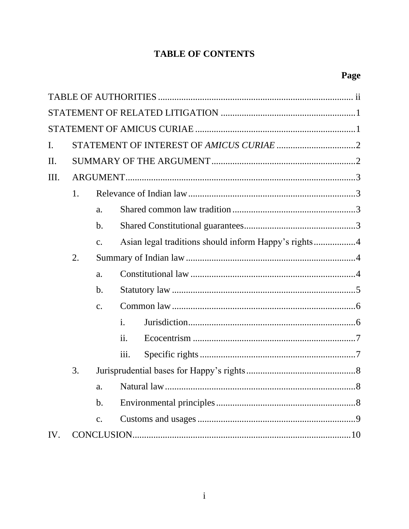## **TABLE OF CONTENTS**

| I.  |    |    |                                                      |  |  |
|-----|----|----|------------------------------------------------------|--|--|
| II. |    |    |                                                      |  |  |
| Ш.  |    |    |                                                      |  |  |
|     | 1. |    |                                                      |  |  |
|     |    | a. |                                                      |  |  |
|     |    | b. |                                                      |  |  |
|     |    | c. | Asian legal traditions should inform Happy's rights4 |  |  |
|     | 2. |    |                                                      |  |  |
|     |    | a. |                                                      |  |  |
|     |    | b. |                                                      |  |  |
|     |    | c. |                                                      |  |  |
|     |    |    | $\mathbf{i}$ .                                       |  |  |
|     |    |    | ii.                                                  |  |  |
|     |    |    | iii.                                                 |  |  |
|     | 3. |    |                                                      |  |  |
|     |    |    |                                                      |  |  |
|     |    | b. |                                                      |  |  |
|     |    | c. |                                                      |  |  |
| IV. |    |    |                                                      |  |  |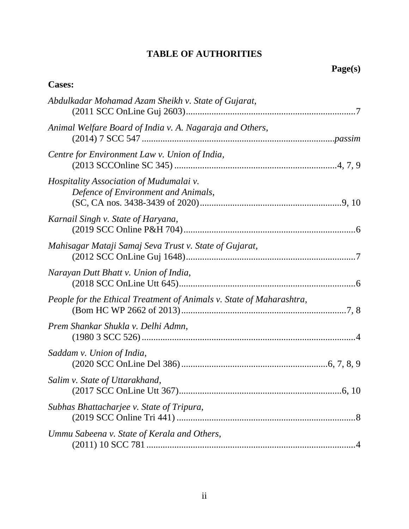## **TABLE OF AUTHORITIES**

## **Cases:**

| Abdulkadar Mohamad Azam Sheikh v. State of Gujarat,                            |
|--------------------------------------------------------------------------------|
| Animal Welfare Board of India v. A. Nagaraja and Others,                       |
| Centre for Environment Law v. Union of India,                                  |
| Hospitality Association of Mudumalai v.<br>Defence of Environment and Animals, |
| Karnail Singh v. State of Haryana,                                             |
| Mahisagar Mataji Samaj Seva Trust v. State of Gujarat,                         |
| Narayan Dutt Bhatt v. Union of India,                                          |
| People for the Ethical Treatment of Animals v. State of Maharashtra,           |
| Prem Shankar Shukla v. Delhi Admn,                                             |
| Saddam v. Union of India,                                                      |
| Salim v. State of Uttarakhand,                                                 |
| Subhas Bhattacharjee v. State of Tripura,                                      |
| Ummu Sabeena v. State of Kerala and Others,                                    |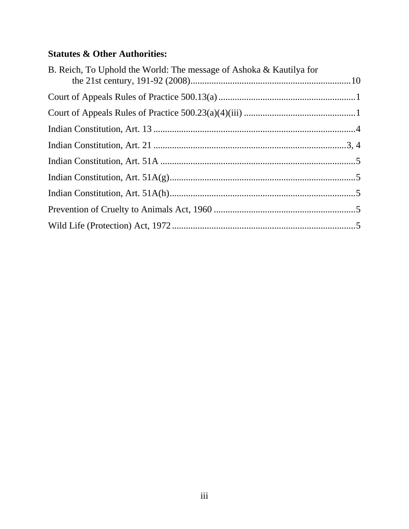## **Statutes & Other Authorities:**

| B. Reich, To Uphold the World: The message of Ashoka & Kautilya for |  |
|---------------------------------------------------------------------|--|
|                                                                     |  |
|                                                                     |  |
|                                                                     |  |
|                                                                     |  |
|                                                                     |  |
|                                                                     |  |
|                                                                     |  |
|                                                                     |  |
|                                                                     |  |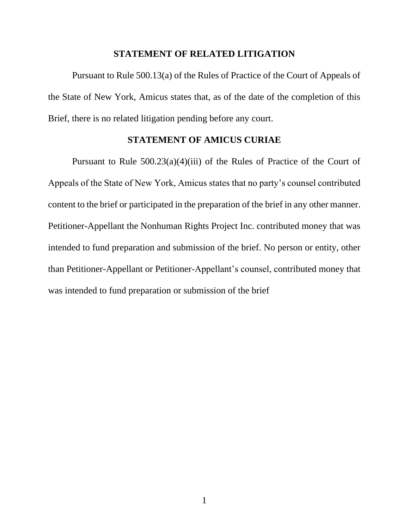#### **STATEMENT OF RELATED LITIGATION**

Pursuant to Rule 500.13(a) of the Rules of Practice of the Court of Appeals of the State of New York, Amicus states that, as of the date of the completion of this Brief, there is no related litigation pending before any court.

#### **STATEMENT OF AMICUS CURIAE**

Pursuant to Rule  $500.23(a)(4)(iii)$  of the Rules of Practice of the Court of Appeals of the State of New York, Amicus states that no party's counsel contributed content to the brief or participated in the preparation of the brief in any other manner. Petitioner-Appellant the Nonhuman Rights Project Inc. contributed money that was intended to fund preparation and submission of the brief. No person or entity, other than Petitioner-Appellant or Petitioner-Appellant's counsel, contributed money that was intended to fund preparation or submission of the brief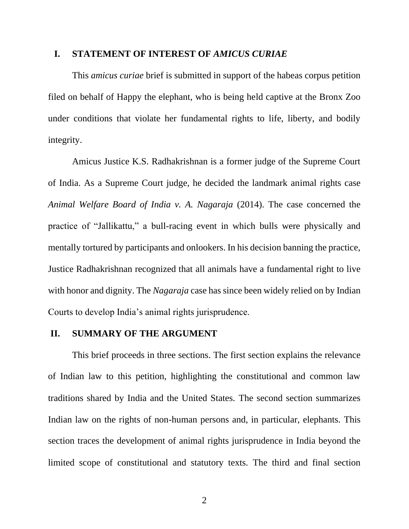#### **I. STATEMENT OF INTEREST OF** *AMICUS CURIAE*

This *amicus curiae* brief is submitted in support of the habeas corpus petition filed on behalf of Happy the elephant, who is being held captive at the Bronx Zoo under conditions that violate her fundamental rights to life, liberty, and bodily integrity.

Amicus Justice K.S. Radhakrishnan is a former judge of the Supreme Court of India. As a Supreme Court judge, he decided the landmark animal rights case *Animal Welfare Board of India v. A. Nagaraja* (2014). The case concerned the practice of "Jallikattu," a bull-racing event in which bulls were physically and mentally tortured by participants and onlookers. In his decision banning the practice, Justice Radhakrishnan recognized that all animals have a fundamental right to live with honor and dignity. The *Nagaraja* case has since been widely relied on by Indian Courts to develop India's animal rights jurisprudence.

#### **II. SUMMARY OF THE ARGUMENT**

This brief proceeds in three sections. The first section explains the relevance of Indian law to this petition, highlighting the constitutional and common law traditions shared by India and the United States. The second section summarizes Indian law on the rights of non-human persons and, in particular, elephants. This section traces the development of animal rights jurisprudence in India beyond the limited scope of constitutional and statutory texts. The third and final section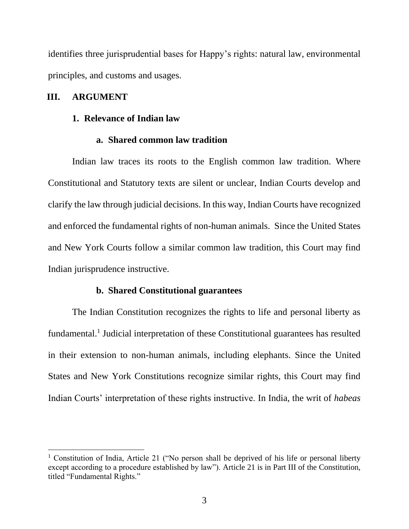identifies three jurisprudential bases for Happy's rights: natural law, environmental principles, and customs and usages.

#### **III. ARGUMENT**

#### **1. Relevance of Indian law**

#### **a. Shared common law tradition**

Indian law traces its roots to the English common law tradition. Where Constitutional and Statutory texts are silent or unclear, Indian Courts develop and clarify the law through judicial decisions. In this way, Indian Courts have recognized and enforced the fundamental rights of non-human animals. Since the United States and New York Courts follow a similar common law tradition, this Court may find Indian jurisprudence instructive.

#### **b. Shared Constitutional guarantees**

The Indian Constitution recognizes the rights to life and personal liberty as fundamental.<sup>1</sup> Judicial interpretation of these Constitutional guarantees has resulted in their extension to non-human animals, including elephants. Since the United States and New York Constitutions recognize similar rights, this Court may find Indian Courts' interpretation of these rights instructive. In India, the writ of *habeas* 

<sup>&</sup>lt;sup>1</sup> Constitution of India, Article 21 ("No person shall be deprived of his life or personal liberty except according to a procedure established by law"). Article 21 is in Part III of the Constitution, titled "Fundamental Rights."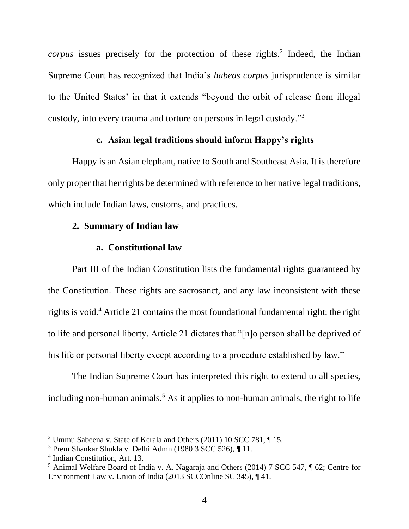corpus issues precisely for the protection of these rights.<sup>2</sup> Indeed, the Indian Supreme Court has recognized that India's *habeas corpus* jurisprudence is similar to the United States' in that it extends "beyond the orbit of release from illegal custody, into every trauma and torture on persons in legal custody."<sup>3</sup>

#### **c. Asian legal traditions should inform Happy's rights**

Happy is an Asian elephant, native to South and Southeast Asia. It is therefore only proper that her rights be determined with reference to her native legal traditions, which include Indian laws, customs, and practices.

#### **2. Summary of Indian law**

#### **a. Constitutional law**

Part III of the Indian Constitution lists the fundamental rights guaranteed by the Constitution. These rights are sacrosanct, and any law inconsistent with these rights is void.<sup>4</sup> Article 21 contains the most foundational fundamental right: the right to life and personal liberty. Article 21 dictates that "[n]o person shall be deprived of his life or personal liberty except according to a procedure established by law."

The Indian Supreme Court has interpreted this right to extend to all species, including non-human animals.<sup>5</sup> As it applies to non-human animals, the right to life

<sup>2</sup> Ummu Sabeena v. State of Kerala and Others (2011) 10 SCC 781, ¶ 15.

<sup>3</sup> Prem Shankar Shukla v. Delhi Admn (1980 3 SCC 526), ¶ 11.

<sup>4</sup> Indian Constitution, Art. 13.

<sup>5</sup> Animal Welfare Board of India v. A. Nagaraja and Others (2014) 7 SCC 547, ¶ 62; Centre for Environment Law v. Union of India (2013 SCCOnline SC 345), ¶ 41.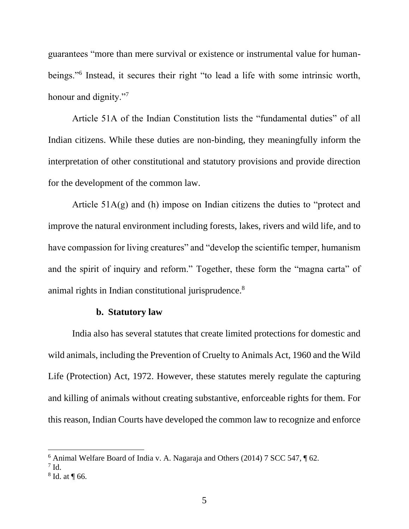guarantees "more than mere survival or existence or instrumental value for humanbeings."<sup>6</sup> Instead, it secures their right "to lead a life with some intrinsic worth, honour and dignity."<sup>7</sup>

Article 51A of the Indian Constitution lists the "fundamental duties" of all Indian citizens. While these duties are non-binding, they meaningfully inform the interpretation of other constitutional and statutory provisions and provide direction for the development of the common law.

Article  $51A(g)$  and (h) impose on Indian citizens the duties to "protect and improve the natural environment including forests, lakes, rivers and wild life, and to have compassion for living creatures" and "develop the scientific temper, humanism and the spirit of inquiry and reform." Together, these form the "magna carta" of animal rights in Indian constitutional jurisprudence.<sup>8</sup>

#### **b. Statutory law**

India also has several statutes that create limited protections for domestic and wild animals, including the Prevention of Cruelty to Animals Act, 1960 and the Wild Life (Protection) Act, 1972. However, these statutes merely regulate the capturing and killing of animals without creating substantive, enforceable rights for them. For this reason, Indian Courts have developed the common law to recognize and enforce

 $6$  Animal Welfare Board of India v. A. Nagaraja and Others (2014) 7 SCC 547,  $\sqrt{ }$  62.

 $^7$  Id.

 $8$  Id. at  $\P$  66.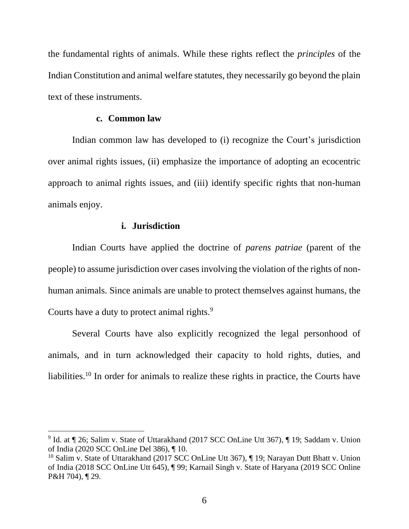the fundamental rights of animals. While these rights reflect the *principles* of the Indian Constitution and animal welfare statutes, they necessarily go beyond the plain text of these instruments.

#### **c. Common law**

Indian common law has developed to (i) recognize the Court's jurisdiction over animal rights issues, (ii) emphasize the importance of adopting an ecocentric approach to animal rights issues, and (iii) identify specific rights that non-human animals enjoy.

#### **i. Jurisdiction**

Indian Courts have applied the doctrine of *parens patriae* (parent of the people) to assume jurisdiction over cases involving the violation of the rights of nonhuman animals. Since animals are unable to protect themselves against humans, the Courts have a duty to protect animal rights.<sup>9</sup>

Several Courts have also explicitly recognized the legal personhood of animals, and in turn acknowledged their capacity to hold rights, duties, and liabilities.<sup>10</sup> In order for animals to realize these rights in practice, the Courts have

<sup>&</sup>lt;sup>9</sup> Id. at ¶ 26; Salim v. State of Uttarakhand (2017 SCC OnLine Utt 367), ¶ 19; Saddam v. Union of India (2020 SCC OnLine Del 386), ¶ 10.

<sup>&</sup>lt;sup>10</sup> Salim v. State of Uttarakhand (2017 SCC OnLine Utt 367),  $\P$  19; Narayan Dutt Bhatt v. Union of India (2018 SCC OnLine Utt 645), ¶ 99; Karnail Singh v. State of Haryana (2019 SCC Online P&H 704), ¶ 29.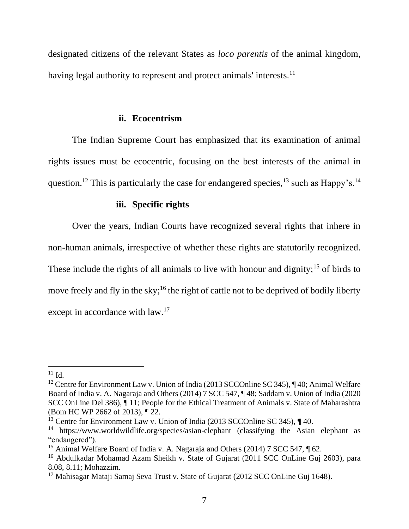designated citizens of the relevant States as *loco parentis* of the animal kingdom, having legal authority to represent and protect animals' interests.<sup>11</sup>

#### **ii. Ecocentrism**

The Indian Supreme Court has emphasized that its examination of animal rights issues must be ecocentric, focusing on the best interests of the animal in question.<sup>12</sup> This is particularly the case for endangered species,<sup>13</sup> such as Happy's.<sup>14</sup>

#### **iii. Specific rights**

Over the years, Indian Courts have recognized several rights that inhere in non-human animals, irrespective of whether these rights are statutorily recognized. These include the rights of all animals to live with honour and dignity;<sup>15</sup> of birds to move freely and fly in the sky;<sup>16</sup> the right of cattle not to be deprived of bodily liberty except in accordance with law.<sup>17</sup>

 $11$  Id.

<sup>&</sup>lt;sup>12</sup> Centre for Environment Law v. Union of India (2013 SCCOnline SC 345),  $\P$ 40; Animal Welfare Board of India v. A. Nagaraja and Others (2014) 7 SCC 547, ¶ 48; Saddam v. Union of India (2020 SCC OnLine Del 386), ¶ 11; People for the Ethical Treatment of Animals v. State of Maharashtra (Bom HC WP 2662 of 2013), ¶ 22.

<sup>&</sup>lt;sup>13</sup> Centre for Environment Law v. Union of India (2013 SCCOnline SC 345),  $\P$  40.

<sup>14</sup> https://www.worldwildlife.org/species/asian-elephant (classifying the Asian elephant as "endangered").

<sup>&</sup>lt;sup>15</sup> Animal Welfare Board of India v. A. Nagaraja and Others (2014) 7 SCC 547, ¶ 62.

<sup>&</sup>lt;sup>16</sup> Abdulkadar Mohamad Azam Sheikh v. State of Gujarat (2011 SCC OnLine Guj 2603), para 8.08, 8.11; Mohazzim.

<sup>&</sup>lt;sup>17</sup> Mahisagar Mataji Samaj Seva Trust v. State of Gujarat (2012 SCC OnLine Guj 1648).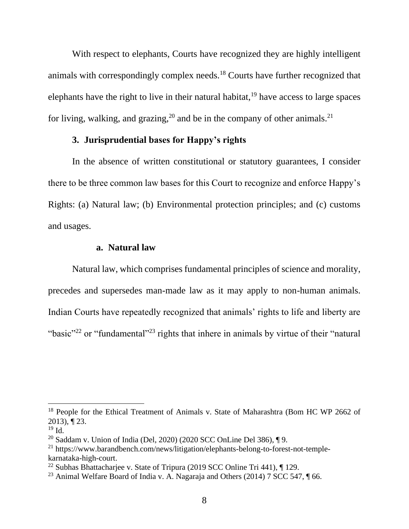With respect to elephants, Courts have recognized they are highly intelligent animals with correspondingly complex needs.<sup>18</sup> Courts have further recognized that elephants have the right to live in their natural habitat,  $19$  have access to large spaces for living, walking, and grazing,<sup>20</sup> and be in the company of other animals.<sup>21</sup>

#### **3. Jurisprudential bases for Happy's rights**

In the absence of written constitutional or statutory guarantees, I consider there to be three common law bases for this Court to recognize and enforce Happy's Rights: (a) Natural law; (b) Environmental protection principles; and (c) customs and usages.

#### **a. Natural law**

Natural law, which comprises fundamental principles of science and morality, precedes and supersedes man-made law as it may apply to non-human animals. Indian Courts have repeatedly recognized that animals' rights to life and liberty are "basic"<sup>22</sup> or "fundamental"<sup>23</sup> rights that inhere in animals by virtue of their "natural

<sup>&</sup>lt;sup>18</sup> People for the Ethical Treatment of Animals v. State of Maharashtra (Bom HC WP 2662 of 2013), ¶ 23.

 $19$  Id.

<sup>20</sup> Saddam v. Union of India (Del, 2020) (2020 SCC OnLine Del 386), ¶ 9.

<sup>&</sup>lt;sup>21</sup> https://www.barandbench.com/news/litigation/elephants-belong-to-forest-not-templekarnataka-high-court.

<sup>&</sup>lt;sup>22</sup> Subhas Bhattachariee v. State of Tripura (2019 SCC Online Tri 441),  $\P$  129.

<sup>&</sup>lt;sup>23</sup> Animal Welfare Board of India v. A. Nagaraja and Others (2014) 7 SCC 547,  $\P$  66.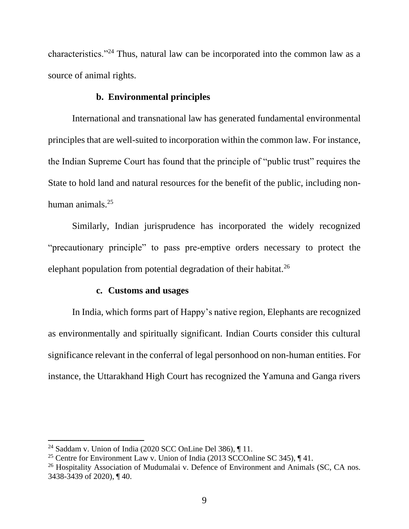characteristics."<sup>24</sup> Thus, natural law can be incorporated into the common law as a source of animal rights.

### **b. Environmental principles**

International and transnational law has generated fundamental environmental principles that are well-suited to incorporation within the common law. For instance, the Indian Supreme Court has found that the principle of "public trust" requires the State to hold land and natural resources for the benefit of the public, including nonhuman animals.<sup>25</sup>

Similarly, Indian jurisprudence has incorporated the widely recognized "precautionary principle" to pass pre-emptive orders necessary to protect the elephant population from potential degradation of their habitat.<sup>26</sup>

#### **c. Customs and usages**

In India, which forms part of Happy's native region, Elephants are recognized as environmentally and spiritually significant. Indian Courts consider this cultural significance relevant in the conferral of legal personhood on non-human entities. For instance, the Uttarakhand High Court has recognized the Yamuna and Ganga rivers

<sup>&</sup>lt;sup>24</sup> Saddam v. Union of India (2020 SCC OnLine Del 386),  $\P$  11.

<sup>&</sup>lt;sup>25</sup> Centre for Environment Law v. Union of India (2013 SCCOnline SC 345),  $\P$  41.

<sup>&</sup>lt;sup>26</sup> Hospitality Association of Mudumalai v. Defence of Environment and Animals (SC, CA nos. 3438-3439 of 2020), ¶ 40.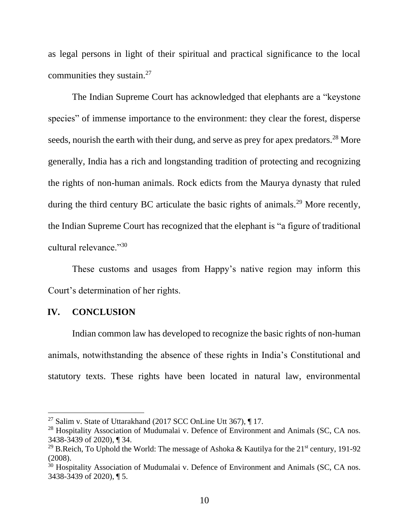as legal persons in light of their spiritual and practical significance to the local communities they sustain.<sup>27</sup>

The Indian Supreme Court has acknowledged that elephants are a "keystone species" of immense importance to the environment: they clear the forest, disperse seeds, nourish the earth with their dung, and serve as prey for apex predators.<sup>28</sup> More generally, India has a rich and longstanding tradition of protecting and recognizing the rights of non-human animals. Rock edicts from the Maurya dynasty that ruled during the third century BC articulate the basic rights of animals.<sup>29</sup> More recently, the Indian Supreme Court has recognized that the elephant is "a figure of traditional cultural relevance."<sup>30</sup>

These customs and usages from Happy's native region may inform this Court's determination of her rights.

#### **IV. CONCLUSION**

Indian common law has developed to recognize the basic rights of non-human animals, notwithstanding the absence of these rights in India's Constitutional and statutory texts. These rights have been located in natural law, environmental

<sup>&</sup>lt;sup>27</sup> Salim v. State of Uttarakhand (2017 SCC OnLine Utt 367),  $\P$  17.

<sup>&</sup>lt;sup>28</sup> Hospitality Association of Mudumalai v. Defence of Environment and Animals (SC, CA nos. 3438-3439 of 2020), ¶ 34.

<sup>&</sup>lt;sup>29</sup> B.Reich, To Uphold the World: The message of Ashoka & Kautilya for the  $21<sup>st</sup>$  century, 191-92 (2008).

<sup>&</sup>lt;sup>30</sup> Hospitality Association of Mudumalai v. Defence of Environment and Animals (SC, CA nos. 3438-3439 of 2020), ¶ 5.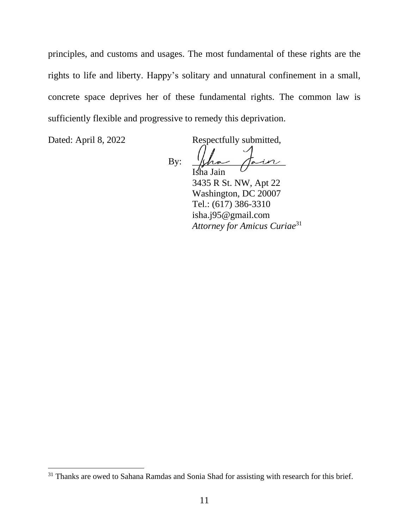principles, and customs and usages. The most fundamental of these rights are the rights to life and liberty. Happy's solitary and unnatural confinement in a small, concrete space deprives her of these fundamental rights. The common law is sufficiently flexible and progressive to remedy this deprivation.

Dated: April 8, 2022 Respectfully submitted,

By:  $\mu \sim \pi$ ha Jain 3435 R St. NW, Apt 22 Washington, DC 20007 Tel.: (617) 386-3310 isha.j95@gmail.com *Attorney for Amicus Curiae* 31

<sup>&</sup>lt;sup>31</sup> Thanks are owed to Sahana Ramdas and Sonia Shad for assisting with research for this brief.